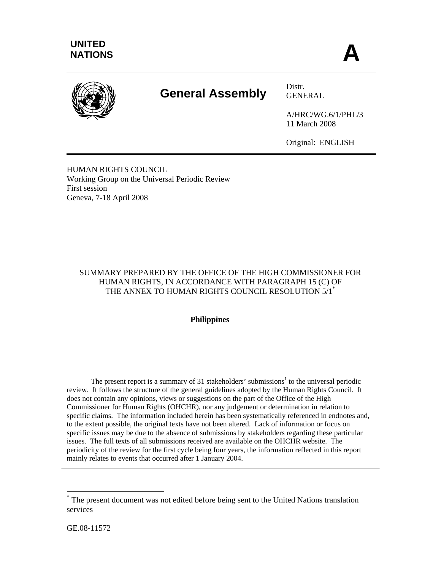

# **General Assembly** Distr.

GENERAL

A/HRC/WG.6/1/PHL/3 11 March 2008

Original: ENGLISH

HUMAN RIGHTS COUNCIL Working Group on the Universal Periodic Review First session Geneva, 7-18 April 2008

# SUMMARY PREPARED BY THE OFFICE OF THE HIGH COMMISSIONER FOR HUMAN RIGHTS, IN ACCORDANCE WITH PARAGRAPH 15 (C) OF THE ANNEX TO HUMAN RIGHTS COUNCIL RESOLUTION 5/1<sup>\*</sup>

# **Philippines**

The present report is a summary of 31 stakeholders' submissions<sup>1</sup> to the universal periodic review. It follows the structure of the general guidelines adopted by the Human Rights Council. It does not contain any opinions, views or suggestions on the part of the Office of the High Commissioner for Human Rights (OHCHR), nor any judgement or determination in relation to specific claims. The information included herein has been systematically referenced in endnotes and, to the extent possible, the original texts have not been altered. Lack of information or focus on specific issues may be due to the absence of submissions by stakeholders regarding these particular issues. The full texts of all submissions received are available on the OHCHR website. The periodicity of the review for the first cycle being four years, the information reflected in this report mainly relates to events that occurred after 1 January 2004.

 $\overline{\phantom{a}}$ 

<sup>\*</sup> The present document was not edited before being sent to the United Nations translation services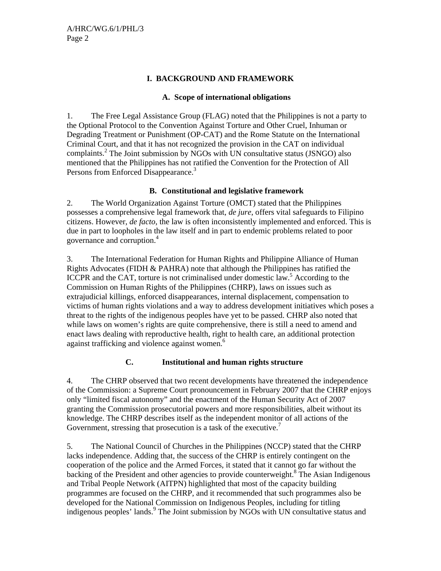# **I. BACKGROUND AND FRAMEWORK**

# **A. Scope of international obligations**

1. The Free Legal Assistance Group (FLAG) noted that the Philippines is not a party to the Optional Protocol to the Convention Against Torture and Other Cruel, Inhuman or Degrading Treatment or Punishment (OP-CAT) and the Rome Statute on the International Criminal Court, and that it has not recognized the provision in the CAT on individual complaints.<sup>2</sup> The Joint submission by NGOs with UN consultative status (JSNGO) also mentioned that the Philippines has not ratified the Convention for the Protection of All Persons from Enforced Disappearance.<sup>3</sup>

# **B. Constitutional and legislative framework**

2. The World Organization Against Torture (OMCT) stated that the Philippines possesses a comprehensive legal framework that, *de jure*, offers vital safeguards to Filipino citizens. However, *de facto*, the law is often inconsistently implemented and enforced. This is due in part to loopholes in the law itself and in part to endemic problems related to poor governance and corruption.4

3. The International Federation for Human Rights and Philippine Alliance of Human Rights Advocates (FIDH  $&$  PAHRA) note that although the Philippines has ratified the ICCPR and the CAT, torture is not criminalised under domestic  $\hat{law}^5$ . According to the Commission on Human Rights of the Philippines (CHRP), laws on issues such as extrajudicial killings, enforced disappearances, internal displacement, compensation to victims of human rights violations and a way to address development initiatives which poses a threat to the rights of the indigenous peoples have yet to be passed. CHRP also noted that while laws on women's rights are quite comprehensive, there is still a need to amend and enact laws dealing with reproductive health, right to health care, an additional protection against trafficking and violence against women.<sup>6</sup>

# **C. Institutional and human rights structure**

4. The CHRP observed that two recent developments have threatened the independence of the Commission: a Supreme Court pronouncement in February 2007 that the CHRP enjoys only "limited fiscal autonomy" and the enactment of the Human Security Act of 2007 granting the Commission prosecutorial powers and more responsibilities, albeit without its knowledge. The CHRP describes itself as the independent monitor of all actions of the Government, stressing that prosecution is a task of the executive.<sup>7</sup>

5. The National Council of Churches in the Philippines (NCCP) stated that the CHRP lacks independence. Adding that, the success of the CHRP is entirely contingent on the cooperation of the police and the Armed Forces, it stated that it cannot go far without the backing of the President and other agencies to provide counterweight.<sup>8</sup> The Asian Indigenous and Tribal People Network (AITPN) highlighted that most of the capacity building programmes are focused on the CHRP, and it recommended that such programmes also be developed for the National Commission on Indigenous Peoples, including for titling indigenous peoples' lands.<sup>9</sup> The Joint submission by NGOs with UN consultative status and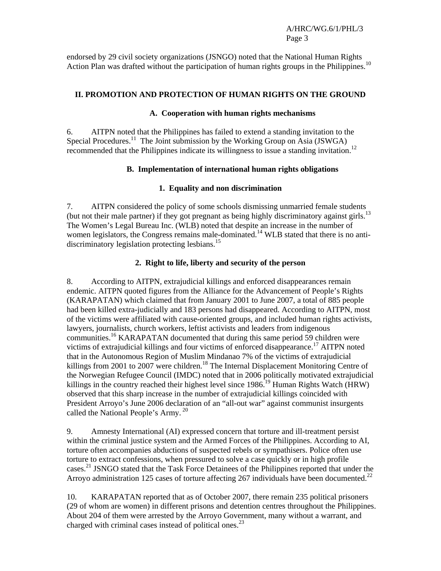endorsed by 29 civil society organizations (JSNGO) noted that the National Human Rights Action Plan was drafted without the participation of human rights groups in the Philippines.<sup>10</sup>

#### **II. PROMOTION AND PROTECTION OF HUMAN RIGHTS ON THE GROUND**

#### **A. Cooperation with human rights mechanisms**

6. AITPN noted that the Philippines has failed to extend a standing invitation to the Special Procedures.<sup>11</sup> The Joint submission by the Working Group on Asia (JSWGA) recommended that the Philippines indicate its willingness to issue a standing invitation.12

#### **B. Implementation of international human rights obligations**

# **1. Equality and non discrimination**

7. AITPN considered the policy of some schools dismissing unmarried female students (but not their male partner) if they got pregnant as being highly discriminatory against girls.<sup>13</sup> The Women's Legal Bureau Inc. (WLB) noted that despite an increase in the number of women legislators, the Congress remains male-dominated.<sup>14</sup> WLB stated that there is no antidiscriminatory legislation protecting lesbians.<sup>15</sup>

#### **2. Right to life, liberty and security of the person**

8. According to AITPN, extrajudicial killings and enforced disappearances remain endemic. AITPN quoted figures from the Alliance for the Advancement of People's Rights (KARAPATAN) which claimed that from January 2001 to June 2007, a total of 885 people had been killed extra-judicially and 183 persons had disappeared. According to AITPN, most of the victims were affiliated with cause-oriented groups, and included human rights activists, lawyers, journalists, church workers, leftist activists and leaders from indigenous communities.16 KARAPATAN documented that during this same period 59 children were victims of extrajudicial killings and four victims of enforced disappearance.<sup>17</sup> AITPN noted that in the Autonomous Region of Muslim Mindanao 7% of the victims of extrajudicial killings from 2001 to 2007 were children.<sup>18</sup> The Internal Displacement Monitoring Centre of the Norwegian Refugee Council (IMDC) noted that in 2006 politically motivated extrajudicial killings in the country reached their highest level since 1986.<sup>19</sup> Human Rights Watch (HRW) observed that this sharp increase in the number of extrajudicial killings coincided with President Arroyo's June 2006 declaration of an "all-out war" against communist insurgents called the National People's Army.<sup>20</sup>

9. Amnesty International (AI) expressed concern that torture and ill-treatment persist within the criminal justice system and the Armed Forces of the Philippines. According to AI, torture often accompanies abductions of suspected rebels or sympathisers. Police often use torture to extract confessions, when pressured to solve a case quickly or in high profile cases.21 JSNGO stated that the Task Force Detainees of the Philippines reported that under the Arroyo administration 125 cases of torture affecting 267 individuals have been documented.<sup>22</sup>

10. KARAPATAN reported that as of October 2007, there remain 235 political prisoners (29 of whom are women) in different prisons and detention centres throughout the Philippines. About 204 of them were arrested by the Arroyo Government, many without a warrant, and charged with criminal cases instead of political ones. $^{23}$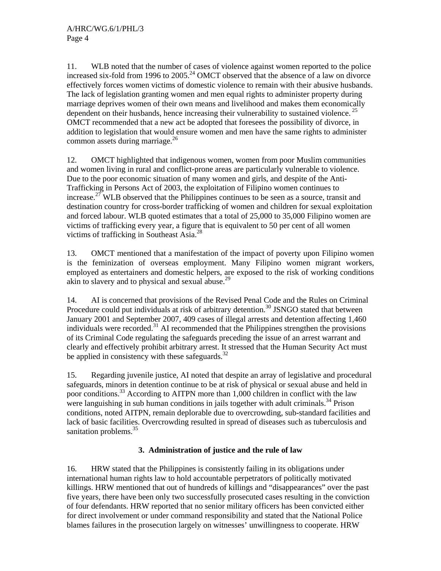11. WLB noted that the number of cases of violence against women reported to the police increased six-fold from 1996 to  $2005.<sup>24</sup>$  OMCT observed that the absence of a law on divorce effectively forces women victims of domestic violence to remain with their abusive husbands. The lack of legislation granting women and men equal rights to administer property during marriage deprives women of their own means and livelihood and makes them economically dependent on their husbands, hence increasing their vulnerability to sustained violence.<sup>25</sup> OMCT recommended that a new act be adopted that foresees the possibility of divorce, in addition to legislation that would ensure women and men have the same rights to administer common assets during marriage.<sup>26</sup>

12. OMCT highlighted that indigenous women, women from poor Muslim communities and women living in rural and conflict-prone areas are particularly vulnerable to violence. Due to the poor economic situation of many women and girls, and despite of the Anti-Trafficking in Persons Act of 2003, the exploitation of Filipino women continues to increase.<sup>27</sup> WLB observed that the Philippines continues to be seen as a source, transit and destination country for cross-border trafficking of women and children for sexual exploitation and forced labour. WLB quoted estimates that a total of 25,000 to 35,000 Filipino women are victims of trafficking every year, a figure that is equivalent to 50 per cent of all women victims of trafficking in Southeast Asia.<sup>28</sup>

13. OMCT mentioned that a manifestation of the impact of poverty upon Filipino women is the feminization of overseas employment. Many Filipino women migrant workers, employed as entertainers and domestic helpers, are exposed to the risk of working conditions akin to slavery and to physical and sexual abuse.<sup>29</sup>

14. AI is concerned that provisions of the Revised Penal Code and the Rules on Criminal Procedure could put individuals at risk of arbitrary detention.<sup>30</sup> JSNGO stated that between January 2001 and September 2007, 409 cases of illegal arrests and detention affecting 1,460 individuals were recorded.31 AI recommended that the Philippines strengthen the provisions of its Criminal Code regulating the safeguards preceding the issue of an arrest warrant and clearly and effectively prohibit arbitrary arrest. It stressed that the Human Security Act must be applied in consistency with these safeguards.<sup>32</sup>

15. Regarding juvenile justice, AI noted that despite an array of legislative and procedural safeguards, minors in detention continue to be at risk of physical or sexual abuse and held in poor conditions.<sup>33</sup> According to AITPN more than 1,000 children in conflict with the law were languishing in sub human conditions in jails together with adult criminals.<sup>34</sup> Prison conditions, noted AITPN, remain deplorable due to overcrowding, sub-standard facilities and lack of basic facilities. Overcrowding resulted in spread of diseases such as tuberculosis and sanitation problems.<sup>35</sup>

# **3. Administration of justice and the rule of law**

16. HRW stated that the Philippines is consistently failing in its obligations under international human rights law to hold accountable perpetrators of politically motivated killings. HRW mentioned that out of hundreds of killings and "disappearances" over the past five years, there have been only two successfully prosecuted cases resulting in the conviction of four defendants. HRW reported that no senior military officers has been convicted either for direct involvement or under command responsibility and stated that the National Police blames failures in the prosecution largely on witnesses' unwillingness to cooperate. HRW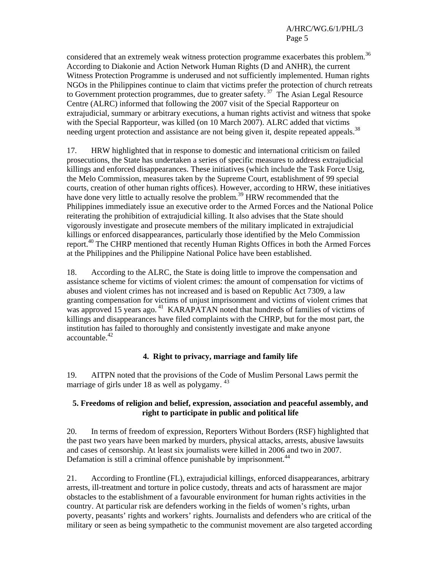considered that an extremely weak witness protection programme exacerbates this problem.<sup>36</sup> According to Diakonie and Action Network Human Rights (D and ANHR), the current Witness Protection Programme is underused and not sufficiently implemented. Human rights NGOs in the Philippines continue to claim that victims prefer the protection of church retreats to Government protection programmes, due to greater safety.<sup>37</sup> The Asian Legal Resource Centre (ALRC) informed that following the 2007 visit of the Special Rapporteur on extrajudicial, summary or arbitrary executions, a human rights activist and witness that spoke with the Special Rapporteur, was killed (on 10 March 2007). ALRC added that victims needing urgent protection and assistance are not being given it, despite repeated appeals.<sup>38</sup>

17. HRW highlighted that in response to domestic and international criticism on failed prosecutions, the State has undertaken a series of specific measures to address extrajudicial killings and enforced disappearances. These initiatives (which include the Task Force Usig, the Melo Commission, measures taken by the Supreme Court, establishment of 99 special courts, creation of other human rights offices). However, according to HRW, these initiatives have done very little to actually resolve the problem.<sup>39</sup> HRW recommended that the Philippines immediately issue an executive order to the Armed Forces and the National Police reiterating the prohibition of extrajudicial killing. It also advises that the State should vigorously investigate and prosecute members of the military implicated in extrajudicial killings or enforced disappearances, particularly those identified by the Melo Commission report.<sup>40</sup> The CHRP mentioned that recently Human Rights Offices in both the Armed Forces at the Philippines and the Philippine National Police have been established.

18. According to the ALRC, the State is doing little to improve the compensation and assistance scheme for victims of violent crimes: the amount of compensation for victims of abuses and violent crimes has not increased and is based on Republic Act 7309, a law granting compensation for victims of unjust imprisonment and victims of violent crimes that was approved 15 years ago.<sup>41</sup> KARAPATAN noted that hundreds of families of victims of killings and disappearances have filed complaints with the CHRP, but for the most part, the institution has failed to thoroughly and consistently investigate and make anyone accountable.<sup>42</sup>

# **4. Right to privacy, marriage and family life**

19. AITPN noted that the provisions of the Code of Muslim Personal Laws permit the marriage of girls under 18 as well as polygamy. <sup>43</sup>

#### **5. Freedoms of religion and belief, expression, association and peaceful assembly, and right to participate in public and political life**

20. In terms of freedom of expression, Reporters Without Borders (RSF) highlighted that the past two years have been marked by murders, physical attacks, arrests, abusive lawsuits and cases of censorship. At least six journalists were killed in 2006 and two in 2007. Defamation is still a criminal offence punishable by imprisonment.<sup>44</sup>

21. According to Frontline (FL), extrajudicial killings, enforced disappearances, arbitrary arrests, ill-treatment and torture in police custody, threats and acts of harassment are major obstacles to the establishment of a favourable environment for human rights activities in the country. At particular risk are defenders working in the fields of women's rights, urban poverty, peasants' rights and workers' rights. Journalists and defenders who are critical of the military or seen as being sympathetic to the communist movement are also targeted according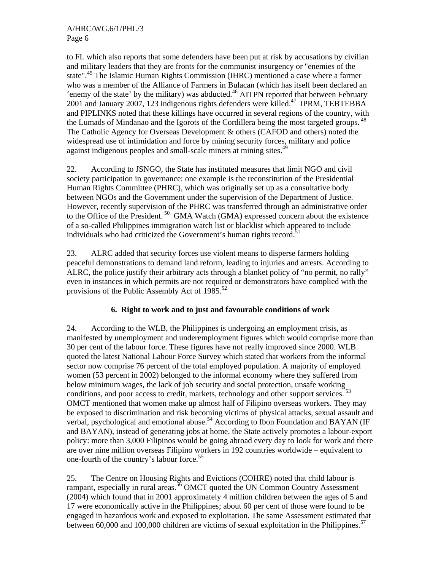to FL which also reports that some defenders have been put at risk by accusations by civilian and military leaders that they are fronts for the communist insurgency or "enemies of the state".<sup>45</sup> The Islamic Human Rights Commission (IHRC) mentioned a case where a farmer who was a member of the Alliance of Farmers in Bulacan (which has itself been declared an 'enemy of the state' by the military) was abducted.<sup>46</sup> AITPN reported that between February 2001 and January 2007, 123 indigenous rights defenders were killed.<sup>47</sup> IPRM, TEBTEBBA and PIPLINKS noted that these killings have occurred in several regions of the country, with the Lumads of Mindanao and the Igorots of the Cordillera being the most targeted groups.<sup>48</sup> The Catholic Agency for Overseas Development & others (CAFOD and others) noted the widespread use of intimidation and force by mining security forces, military and police against indigenous peoples and small-scale miners at mining sites.<sup>49</sup>

22. According to JSNGO, the State has instituted measures that limit NGO and civil society participation in governance: one example is the reconstitution of the Presidential Human Rights Committee (PHRC), which was originally set up as a consultative body between NGOs and the Government under the supervision of the Department of Justice. However, recently supervision of the PHRC was transferred through an administrative order to the Office of the President.<sup>50</sup> GMA Watch (GMA) expressed concern about the existence of a so-called Philippines immigration watch list or blacklist which appeared to include individuals who had criticized the Government's human rights record.<sup>51</sup>

23. ALRC added that security forces use violent means to disperse farmers holding peaceful demonstrations to demand land reform, leading to injuries and arrests. According to ALRC, the police justify their arbitrary acts through a blanket policy of "no permit, no rally" even in instances in which permits are not required or demonstrators have complied with the provisions of the Public Assembly Act of  $1985$ <sup>52</sup>

# **6. Right to work and to just and favourable conditions of work**

24. According to the WLB, the Philippines is undergoing an employment crisis, as manifested by unemployment and underemployment figures which would comprise more than 30 per cent of the labour force. These figures have not really improved since 2000. WLB quoted the latest National Labour Force Survey which stated that workers from the informal sector now comprise 76 percent of the total employed population. A majority of employed women (53 percent in 2002) belonged to the informal economy where they suffered from below minimum wages, the lack of job security and social protection, unsafe working conditions, and poor access to credit, markets, technology and other support services.<sup>53</sup> OMCT mentioned that women make up almost half of Filipino overseas workers. They may be exposed to discrimination and risk becoming victims of physical attacks, sexual assault and verbal, psychological and emotional abuse.<sup>54</sup> According to Ibon Foundation and BAYAN (IF and BAYAN), instead of generating jobs at home, the State actively promotes a labour-export policy: more than 3,000 Filipinos would be going abroad every day to look for work and there are over nine million overseas Filipino workers in 192 countries worldwide – equivalent to one-fourth of the country's labour force.55

25. The Centre on Housing Rights and Evictions (COHRE) noted that child labour is rampant, especially in rural areas.<sup>56</sup> OMCT quoted the UN Common Country Assessment (2004) which found that in 2001 approximately 4 million children between the ages of 5 and 17 were economically active in the Philippines; about 60 per cent of those were found to be engaged in hazardous work and exposed to exploitation. The same Assessment estimated that between 60,000 and 100,000 children are victims of sexual exploitation in the Philippines.<sup>57</sup>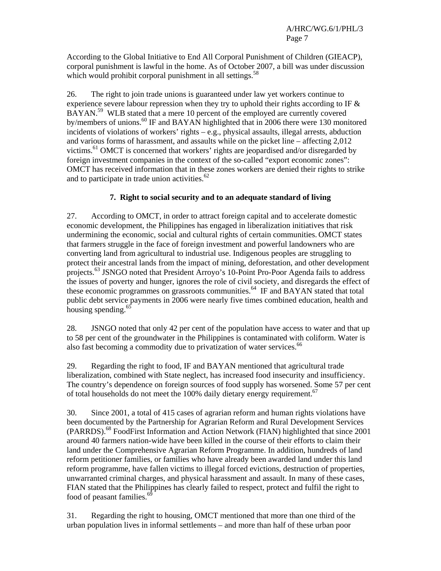According to the Global Initiative to End All Corporal Punishment of Children (GIEACP), corporal punishment is lawful in the home. As of October 2007, a bill was under discussion which would prohibit corporal punishment in all settings.<sup>58</sup>

26. The right to join trade unions is guaranteed under law yet workers continue to experience severe labour repression when they try to uphold their rights according to IF & BAYAN.<sup>59</sup> WLB stated that a mere 10 percent of the employed are currently covered by/members of unions.<sup>60</sup> IF and BAYAN highlighted that in 2006 there were 130 monitored incidents of violations of workers' rights – e.g., physical assaults, illegal arrests, abduction and various forms of harassment, and assaults while on the picket line – affecting 2,012 victims.61 OMCT is concerned that workers' rights are jeopardised and/or disregarded by foreign investment companies in the context of the so-called "export economic zones": OMCT has received information that in these zones workers are denied their rights to strike and to participate in trade union activities.<sup>62</sup>

# **7. Right to social security and to an adequate standard of living**

27. According to OMCT, in order to attract foreign capital and to accelerate domestic economic development, the Philippines has engaged in liberalization initiatives that risk undermining the economic, social and cultural rights of certain communities. OMCT states that farmers struggle in the face of foreign investment and powerful landowners who are converting land from agricultural to industrial use. Indigenous peoples are struggling to protect their ancestral lands from the impact of mining, deforestation, and other development projects.63 JSNGO noted that President Arroyo's 10-Point Pro-Poor Agenda fails to address the issues of poverty and hunger, ignores the role of civil society, and disregards the effect of these economic programmes on grassroots communities.<sup> $64$ </sup> IF and BAYAN stated that total public debt service payments in 2006 were nearly five times combined education, health and housing spending.<sup>65</sup>

28. JSNGO noted that only 42 per cent of the population have access to water and that up to 58 per cent of the groundwater in the Philippines is contaminated with coliform. Water is also fast becoming a commodity due to privatization of water services.<sup>66</sup>

29. Regarding the right to food, IF and BAYAN mentioned that agricultural trade liberalization, combined with State neglect, has increased food insecurity and insufficiency. The country's dependence on foreign sources of food supply has worsened. Some 57 per cent of total households do not meet the  $100\%$  daily dietary energy requirement.<sup>67</sup>

30. Since 2001, a total of 415 cases of agrarian reform and human rights violations have been documented by the Partnership for Agrarian Reform and Rural Development Services (PARRDS).68 FoodFirst Information and Action Network (FIAN) highlighted that since 2001 around 40 farmers nation-wide have been killed in the course of their efforts to claim their land under the Comprehensive Agrarian Reform Programme. In addition, hundreds of land reform petitioner families, or families who have already been awarded land under this land reform programme, have fallen victims to illegal forced evictions, destruction of properties, unwarranted criminal charges, and physical harassment and assault. In many of these cases, FIAN stated that the Philippines has clearly failed to respect, protect and fulfil the right to food of peasant families.<sup>6</sup>

31. Regarding the right to housing, OMCT mentioned that more than one third of the urban population lives in informal settlements – and more than half of these urban poor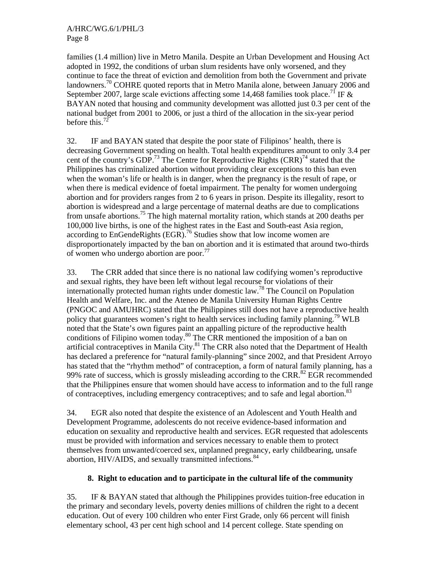A/HRC/WG.6/1/PHL/3 Page 8

families (1.4 million) live in Metro Manila. Despite an Urban Development and Housing Act adopted in 1992, the conditions of urban slum residents have only worsened, and they continue to face the threat of eviction and demolition from both the Government and private landowners.<sup>70</sup> COHRE quoted reports that in Metro Manila alone, between January 2006 and September 2007, large scale evictions affecting some 14,468 families took place.<sup>71</sup> IF & BAYAN noted that housing and community development was allotted just 0.3 per cent of the national budget from 2001 to 2006, or just a third of the allocation in the six-year period before this.<sup>72</sup>

32. IF and BAYAN stated that despite the poor state of Filipinos' health, there is decreasing Government spending on health. Total health expenditures amount to only 3.4 per cent of the country's GDP.<sup>73</sup> The Centre for Reproductive Rights  $(CRR)^{74}$  stated that the Philippines has criminalized abortion without providing clear exceptions to this ban even when the woman's life or health is in danger, when the pregnancy is the result of rape, or when there is medical evidence of foetal impairment. The penalty for women undergoing abortion and for providers ranges from 2 to 6 years in prison. Despite its illegality, resort to abortion is widespread and a large percentage of maternal deaths are due to complications from unsafe abortions.<sup>75</sup> The high maternal mortality ration, which stands at 200 deaths per 100,000 live births, is one of the highest rates in the East and South-east Asia region, according to EnGendeRights (EGR).<sup>76</sup> Studies show that low income women are disproportionately impacted by the ban on abortion and it is estimated that around two-thirds of women who undergo abortion are poor.<sup>77</sup>

33. The CRR added that since there is no national law codifying women's reproductive and sexual rights, they have been left without legal recourse for violations of their internationally protected human rights under domestic law.<sup>78</sup> The Council on Population Health and Welfare, Inc. and the Ateneo de Manila University Human Rights Centre (PNGOC and AMUHRC) stated that the Philippines still does not have a reproductive health policy that guarantees women's right to health services including family planning.79 WLB noted that the State's own figures paint an appalling picture of the reproductive health conditions of Filipino women today.<sup>80</sup> The CRR mentioned the imposition of a ban on artificial contraceptives in Manila City. ${}^{81}$  The CRR also noted that the Department of Health has declared a preference for "natural family-planning" since 2002, and that President Arroyo has stated that the "rhythm method" of contraception, a form of natural family planning, has a 99% rate of success, which is grossly misleading according to the CRR.<sup>82</sup> EGR recommended that the Philippines ensure that women should have access to information and to the full range of contraceptives, including emergency contraceptives; and to safe and legal abortion.<sup>83</sup>

34. EGR also noted that despite the existence of an Adolescent and Youth Health and Development Programme, adolescents do not receive evidence-based information and education on sexuality and reproductive health and services. EGR requested that adolescents must be provided with information and services necessary to enable them to protect themselves from unwanted/coerced sex, unplanned pregnancy, early childbearing, unsafe abortion, HIV/AIDS, and sexually transmitted infections.<sup>84</sup>

#### **8. Right to education and to participate in the cultural life of the community**

35. IF & BAYAN stated that although the Philippines provides tuition-free education in the primary and secondary levels, poverty denies millions of children the right to a decent education. Out of every 100 children who enter First Grade, only 66 percent will finish elementary school, 43 per cent high school and 14 percent college. State spending on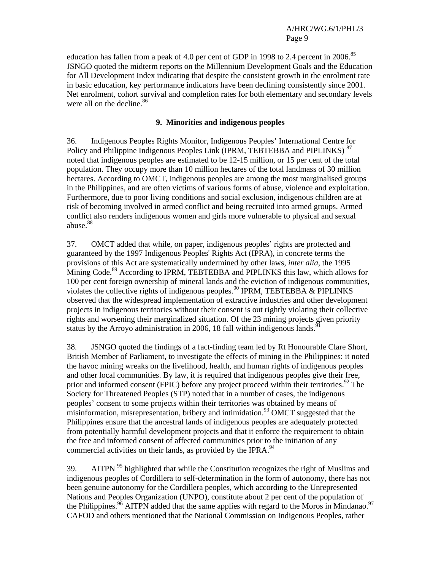education has fallen from a peak of 4.0 per cent of GDP in 1998 to 2.4 percent in 2006.<sup>85</sup> JSNGO quoted the midterm reports on the Millennium Development Goals and the Education for All Development Index indicating that despite the consistent growth in the enrolment rate in basic education, key performance indicators have been declining consistently since 2001. Net enrolment, cohort survival and completion rates for both elementary and secondary levels were all on the decline.<sup>86</sup>

#### **9. Minorities and indigenous peoples**

36. Indigenous Peoples Rights Monitor, Indigenous Peoples' International Centre for Policy and Philippine Indigenous Peoples Link (IPRM, TEBTEBBA and PIPLINKS)<sup>87</sup> noted that indigenous peoples are estimated to be 12-15 million, or 15 per cent of the total population. They occupy more than 10 million hectares of the total landmass of 30 million hectares. According to OMCT, indigenous peoples are among the most marginalised groups in the Philippines, and are often victims of various forms of abuse, violence and exploitation. Furthermore, due to poor living conditions and social exclusion, indigenous children are at risk of becoming involved in armed conflict and being recruited into armed groups. Armed conflict also renders indigenous women and girls more vulnerable to physical and sexual abuse.<sup>88</sup>

37. OMCT added that while, on paper, indigenous peoples' rights are protected and guaranteed by the 1997 Indigenous Peoples' Rights Act (IPRA), in concrete terms the provisions of this Act are systematically undermined by other laws, *inter alia*, the 1995 Mining Code.<sup>89</sup> According to IPRM, TEBTEBBA and PIPLINKS this law, which allows for 100 per cent foreign ownership of mineral lands and the eviction of indigenous communities, violates the collective rights of indigenous peoples.<sup>90</sup> IPRM, TEBTEBBA & PIPLINKS observed that the widespread implementation of extractive industries and other development projects in indigenous territories without their consent is out rightly violating their collective rights and worsening their marginalized situation. Of the 23 mining projects given priority status by the Arroyo administration in 2006, 18 fall within indigenous lands.<sup>9</sup>

38. JSNGO quoted the findings of a fact-finding team led by Rt Honourable Clare Short, British Member of Parliament, to investigate the effects of mining in the Philippines: it noted the havoc mining wreaks on the livelihood, health, and human rights of indigenous peoples and other local communities. By law, it is required that indigenous peoples give their free, prior and informed consent (FPIC) before any project proceed within their territories.<sup>92</sup> The Society for Threatened Peoples (STP) noted that in a number of cases, the indigenous peoples' consent to some projects within their territories was obtained by means of misinformation, misrepresentation, bribery and intimidation.<sup>93</sup> OMCT suggested that the Philippines ensure that the ancestral lands of indigenous peoples are adequately protected from potentially harmful development projects and that it enforce the requirement to obtain the free and informed consent of affected communities prior to the initiation of any commercial activities on their lands, as provided by the IPRA.<sup>94</sup>

39. AITPN  $95$  highlighted that while the Constitution recognizes the right of Muslims and indigenous peoples of Cordillera to self-determination in the form of autonomy, there has not been genuine autonomy for the Cordillera peoples, which according to the Unrepresented Nations and Peoples Organization (UNPO), constitute about 2 per cent of the population of the Philippines.<sup>96</sup> AITPN added that the same applies with regard to the Moros in Mindanao.<sup>97</sup> CAFOD and others mentioned that the National Commission on Indigenous Peoples, rather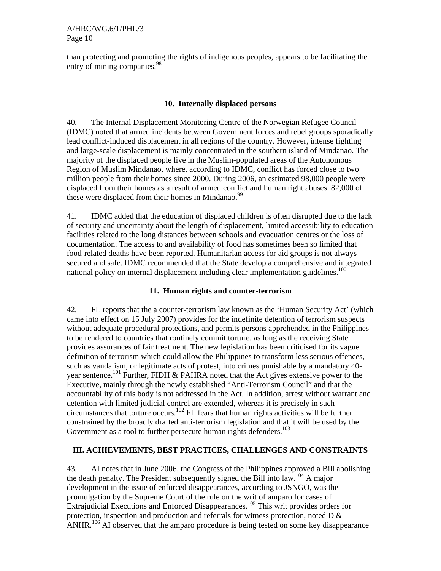than protecting and promoting the rights of indigenous peoples, appears to be facilitating the entry of mining companies.<sup>98</sup>

#### **10. Internally displaced persons**

40. The Internal Displacement Monitoring Centre of the Norwegian Refugee Council (IDMC) noted that armed incidents between Government forces and rebel groups sporadically lead conflict-induced displacement in all regions of the country. However, intense fighting and large-scale displacement is mainly concentrated in the southern island of Mindanao. The majority of the displaced people live in the Muslim-populated areas of the Autonomous Region of Muslim Mindanao, where, according to IDMC, conflict has forced close to two million people from their homes since 2000. During 2006, an estimated 98,000 people were displaced from their homes as a result of armed conflict and human right abuses. 82,000 of these were displaced from their homes in Mindanao.<sup>99</sup>

41. IDMC added that the education of displaced children is often disrupted due to the lack of security and uncertainty about the length of displacement, limited accessibility to education facilities related to the long distances between schools and evacuation centres or the loss of documentation. The access to and availability of food has sometimes been so limited that food-related deaths have been reported. Humanitarian access for aid groups is not always secured and safe. IDMC recommended that the State develop a comprehensive and integrated national policy on internal displacement including clear implementation guidelines.<sup>100</sup>

# **11. Human rights and counter-terrorism**

42. FL reports that the a counter-terrorism law known as the 'Human Security Act' (which came into effect on 15 July 2007) provides for the indefinite detention of terrorism suspects without adequate procedural protections, and permits persons apprehended in the Philippines to be rendered to countries that routinely commit torture, as long as the receiving State provides assurances of fair treatment. The new legislation has been criticised for its vague definition of terrorism which could allow the Philippines to transform less serious offences, such as vandalism, or legitimate acts of protest, into crimes punishable by a mandatory 40 year sentence.<sup>101</sup> Further, FIDH & PAHRA noted that the Act gives extensive power to the Executive, mainly through the newly established "Anti-Terrorism Council" and that the accountability of this body is not addressed in the Act. In addition, arrest without warrant and detention with limited judicial control are extended, whereas it is precisely in such circumstances that torture occurs.<sup>102</sup> FL fears that human rights activities will be further constrained by the broadly drafted anti-terrorism legislation and that it will be used by the Government as a tool to further persecute human rights defenders.<sup>103</sup>

# **III. ACHIEVEMENTS, BEST PRACTICES, CHALLENGES AND CONSTRAINTS**

43. AI notes that in June 2006, the Congress of the Philippines approved a Bill abolishing the death penalty. The President subsequently signed the Bill into law.104 A major development in the issue of enforced disappearances, according to JSNGO, was the promulgation by the Supreme Court of the rule on the writ of amparo for cases of Extrajudicial Executions and Enforced Disappearances.<sup>105</sup> This writ provides orders for protection, inspection and production and referrals for witness protection, noted D & ANHR.<sup>106</sup> AI observed that the amparo procedure is being tested on some key disappearance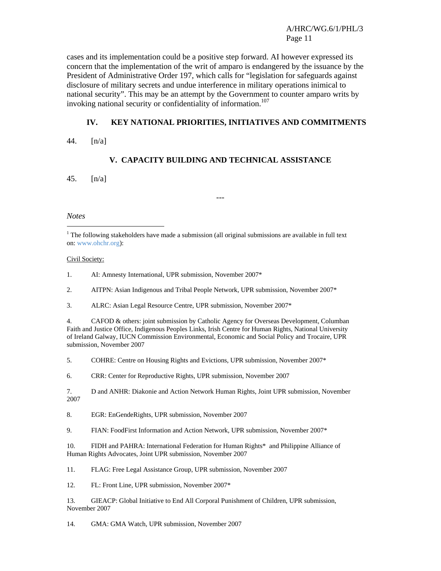A/HRC/WG.6/1/PHL/3 Page 11

cases and its implementation could be a positive step forward. AI however expressed its concern that the implementation of the writ of amparo is endangered by the issuance by the President of Administrative Order 197, which calls for "legislation for safeguards against disclosure of military secrets and undue interference in military operations inimical to national security". This may be an attempt by the Government to counter amparo writs by invoking national security or confidentiality of information.<sup>107</sup>

#### **IV. KEY NATIONAL PRIORITIES, INITIATIVES AND COMMITMENTS**

44. [n/a]

#### **V. CAPACITY BUILDING AND TECHNICAL ASSISTANCE**

---

45. [n/a]

#### *Notes*

 $\overline{\phantom{a}}$ 

#### Civil Society:

1. AI: Amnesty International, UPR submission, November 2007\*

2. AITPN: Asian Indigenous and Tribal People Network, UPR submission, November 2007\*

3. ALRC: Asian Legal Resource Centre, UPR submission, November 2007\*

4. CAFOD & others: joint submission by Catholic Agency for Overseas Development, Columban Faith and Justice Office, Indigenous Peoples Links, Irish Centre for Human Rights, National University of Ireland Galway, IUCN Commission Environmental, Economic and Social Policy and Trocaire, UPR submission, November 2007

5. COHRE: Centre on Housing Rights and Evictions, UPR submission, November 2007\*

6. CRR: Center for Reproductive Rights, UPR submission, November 2007

7. D and ANHR: Diakonie and Action Network Human Rights, Joint UPR submission, November 2007

8. EGR: EnGendeRights, UPR submission, November 2007

9. FIAN: FoodFirst Information and Action Network, UPR submission, November 2007\*

10. FIDH and PAHRA: International Federation for Human Rights\* and Philippine Alliance of Human Rights Advocates, Joint UPR submission, November 2007

11. FLAG: Free Legal Assistance Group, UPR submission, November 2007

12. FL: Front Line, UPR submission, November 2007\*

13. GIEACP: Global Initiative to End All Corporal Punishment of Children, UPR submission, November 2007

14. GMA: GMA Watch, UPR submission, November 2007

 $<sup>1</sup>$  The following stakeholders have made a submission (all original submissions are available in full text</sup> on: www.ohchr.org):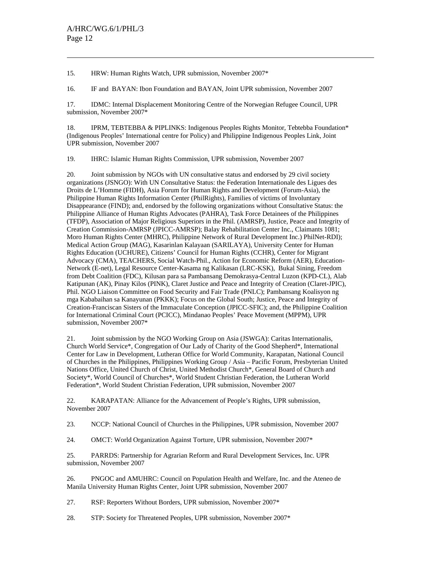$\overline{\phantom{a}}$ 

15. HRW: Human Rights Watch, UPR submission, November 2007\*

16. IF and BAYAN: Ibon Foundation and BAYAN, Joint UPR submission, November 2007

17. IDMC: Internal Displacement Monitoring Centre of the Norwegian Refugee Council, UPR submission, November 2007\*

18. IPRM, TEBTEBBA & PIPLINKS: Indigenous Peoples Rights Monitor, Tebtebba Foundation\* (Indigenous Peoples' International centre for Policy) and Philippine Indigenous Peoples Link, Joint UPR submission, November 2007

19. IHRC: Islamic Human Rights Commission, UPR submission, November 2007

20. Joint submission by NGOs with UN consultative status and endorsed by 29 civil society organizations (JSNGO): With UN Consultative Status: the Federation Internationale des Ligues des Droits de L'Homme (FIDH), Asia Forum for Human Rights and Development (Forum-Asia), the Philippine Human Rights Information Center (PhilRights), Families of victims of Involuntary Disappearance (FIND); and, endorsed by the following organizations without Consultative Status: the Philippine Alliance of Human Rights Advocates (PAHRA), Task Force Detainees of the Philippines (TFDP), Association of Major Religious Superiors in the Phil. (AMRSP), Justice, Peace and Integrity of Creation Commission-AMRSP (JPICC-AMRSP); Balay Rehabilitation Center Inc., Claimants 1081; Moro Human Rights Center (MHRC), Philippine Network of Rural Development Inc.) PhilNet-RDI); Medical Action Group (MAG), Kasarinlan Kalayaan (SARILAYA), University Center for Human Rights Education (UCHURE), Citizens' Council for Human Rights (CCHR), Center for Migrant Advocacy (CMA), TEACHERS, Social Watch-Phil., Action for Economic Reform (AER), Education-Network (E-net), Legal Resource Center-Kasama ng Kalikasan (LRC-KSK), Bukal Sining, Freedom from Debt Coalition (FDC), Kilusan para sa Pambansang Demokrasya-Central Luzon (KPD-CL), Alab Katipunan (AK), Pinay Kilos (PINK), Claret Justice and Peace and Integrity of Creation (Claret-JPIC), Phil. NGO Liaison Committee on Food Security and Fair Trade (PNLC); Pambansang Koalisyon ng mga Kababaihan sa Kanayunan (PKKK); Focus on the Global South; Justice, Peace and Integrity of Creation-Franciscan Sisters of the Immaculate Conception (JPICC-SFIC); and, the Philippine Coalition for International Criminal Court (PCICC), Mindanao Peoples' Peace Movement (MPPM), UPR submission, November 2007\*

21. Joint submission by the NGO Working Group on Asia (JSWGA): Caritas Internationalis, Church World Service\*, Congregation of Our Lady of Charity of the Good Shepherd\*, International Center for Law in Development, Lutheran Office for World Community, Karapatan, National Council of Churches in the Philippines, Philippines Working Group / Asia – Pacific Forum, Presbyterian United Nations Office, United Church of Christ, United Methodist Church\*, General Board of Church and Society\*, World Council of Churches\*, World Student Christian Federation, the Lutheran World Federation\*, World Student Christian Federation, UPR submission, November 2007

22. KARAPATAN: Alliance for the Advancement of People's Rights, UPR submission, November 2007

23. NCCP: National Council of Churches in the Philippines, UPR submission, November 2007

24. OMCT: World Organization Against Torture, UPR submission, November 2007\*

25. PARRDS: Partnership for Agrarian Reform and Rural Development Services, Inc. UPR submission, November 2007

26. PNGOC and AMUHRC: Council on Population Health and Welfare, Inc. and the Ateneo de Manila University Human Rights Center, Joint UPR submission, November 2007

27. RSF: Reporters Without Borders, UPR submission, November 2007\*

28. STP: Society for Threatened Peoples, UPR submission, November 2007\*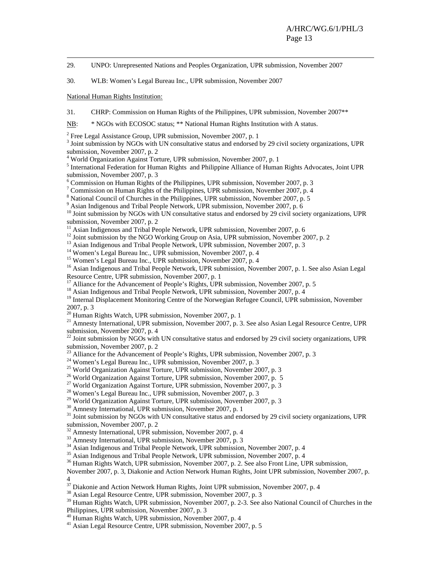29. UNPO: Unrepresented Nations and Peoples Organization, UPR submission, November 2007

30. WLB: Women's Legal Bureau Inc., UPR submission, November 2007

National Human Rights Institution:

31. CHRP: Commission on Human Rights of the Philippines, UPR submission, November 2007\*\*

NB: \* NGOs with ECOSOC status; \*\* National Human Rights Institution with A status.

 $2^2$  Free Legal Assistance Group, UPR submission, November 2007, p. 1

<sup>3</sup> Joint submission by NGOs with UN consultative status and endorsed by 29 civil society organizations, UPR submission, November 2007, p. 2

4 World Organization Against Torture, UPR submission, November 2007, p. 1

<sup>5</sup> International Federation for Human Rights and Philippine Alliance of Human Rights Advocates, Joint UPR submission, November 2007, p. 3

6 Commission on Human Rights of the Philippines, UPR submission, November 2007, p. 3

<sup>7</sup> Commission on Human Rights of the Philippines, UPR submission, November 2007, p. 4

<sup>8</sup> National Council of Churches in the Philippines, UPR submission, November 2007, p. 5

<sup>9</sup> Asian Indigenous and Tribal People Network, UPR submission, November 2007, p. 6

 $10$  Joint submission by NGOs with UN consultative status and endorsed by 29 civil society organizations, UPR submission, November 2007, p. 2

 $11$  Asian Indigenous and Tribal People Network, UPR submission, November 2007, p. 6

<sup>12</sup> Joint submission by the NGO Working Group on Asia, UPR submission, November 2007, p. 2

<sup>13</sup> Asian Indigenous and Tribal People Network, UPR submission, November 2007, p. 3

<sup>14</sup> Women's Legal Bureau Inc., UPR submission, November 2007, p. 4

<sup>15</sup> Women's Legal Bureau Inc., UPR submission, November 2007, p. 4

<sup>16</sup> Asian Indigenous and Tribal People Network, UPR submission, November 2007, p. 1. See also Asian Legal Resource Centre, UPR submission, November 2007, p. 1

<sup>17</sup> Alliance for the Advancement of People's Rights, UPR submission, November 2007, p. 5

<sup>18</sup> Asian Indigenous and Tribal People Network, UPR submission, November 2007, p. 4

<sup>19</sup> Internal Displacement Monitoring Centre of the Norwegian Refugee Council, UPR submission, November 2007, p. 3

<sup>20</sup> Human Rights Watch, UPR submission, November 2007, p. 1

<sup>21</sup> Amnesty International, UPR submission, November 2007, p. 3. See also Asian Legal Resource Centre, UPR submission, November 2007, p. 4

 $^{22}$  Joint submission by NGOs with UN consultative status and endorsed by 29 civil society organizations, UPR submission, November 2007, p. 2

 $^{23}$  Alliance for the Advancement of People's Rights, UPR submission, November 2007, p. 3

24 Women's Legal Bureau Inc., UPR submission, November 2007, p. 3

<sup>25</sup> World Organization Against Torture, UPR submission, November 2007, p. 3

<sup>26</sup> World Organization Against Torture, UPR submission, November 2007, p. 5

<sup>27</sup> World Organization Against Torture, UPR submission, November 2007, p. 3

28 Women's Legal Bureau Inc., UPR submission, November 2007, p. 3

<sup>29</sup> World Organization Against Torture, UPR submission, November 2007, p. 3

<sup>30</sup> Amnesty International, UPR submission, November 2007, p. 1

<sup>31</sup> Joint submission by NGOs with UN consultative status and endorsed by 29 civil society organizations, UPR submission, November 2007, p. 2

<sup>32</sup> Amnesty International, UPR submission, November 2007, p. 4

 $33$  Amnesty International, UPR submission, November 2007, p. 3<br> $34$  Asian Indigenous and Tribal People Network, UPR submission, November 2007, p. 4

34 Asian Indigenous and Tribal People Network, UPR submission, November 2007, p. 4 35 Asian Indigenous and Tribal People Network, UPR submission, November 2007, p. 4

<sup>36</sup> Human Rights Watch, UPR submission, November 2007, p. 2. See also Front Line, UPR submission,

November 2007, p. 3, Diakonie and Action Network Human Rights, Joint UPR submission, November 2007, p. 4

 $37$  Diakonie and Action Network Human Rights, Joint UPR submission, November 2007, p. 4

38 Asian Legal Resource Centre, UPR submission, November 2007, p. 3

<sup>39</sup> Human Rights Watch, UPR submission, November 2007, p. 2-3. See also National Council of Churches in the Philippines, UPR submission, November 2007, p. 3

40 Human Rights Watch, UPR submission, November 2007, p. 4

41 Asian Legal Resource Centre, UPR submission, November 2007, p. 5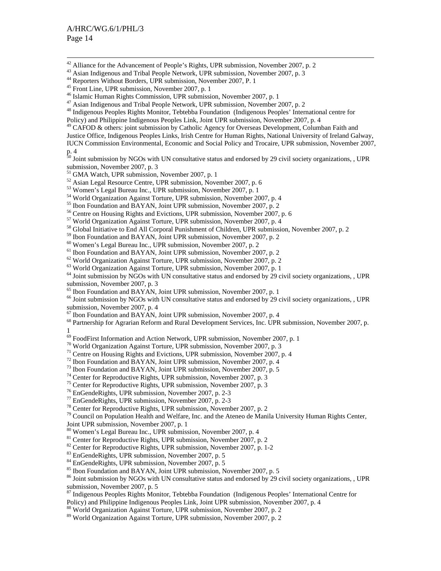<sup>42</sup> Alliance for the Advancement of People's Rights, UPR submission, November 2007, p. 2

48 Indigenous Peoples Rights Monitor, Tebtebba Foundation (Indigenous Peoples' International centre for

Policy) and Philippine Indigenous Peoples Link, Joint UPR submission, November 2007, p. 4

<sup>49</sup> CAFOD & others: joint submission by Catholic Agency for Overseas Development, Columban Faith and

Justice Office, Indigenous Peoples Links, Irish Centre for Human Rights, National University of Ireland Galway,

IUCN Commission Environmental, Economic and Social Policy and Trocaire, UPR submission, November 2007, p. 4

<sup>30</sup> Joint submission by NGOs with UN consultative status and endorsed by 29 civil society organizations, , UPR submission, November 2007, p. 3

52 Asian Legal Resource Centre, UPR submission, November 2007, p. 6

53 Women's Legal Bureau Inc., UPR submission, November 2007, p. 1

- 54 World Organization Against Torture, UPR submission, November 2007, p. 4
- <sup>55</sup> Ibon Foundation and BAYAN, Joint UPR submission, November 2007, p. 2<br><sup>56</sup> Centre on Housing Rights and Evictions, UPR submission, November 2007, p. 6
- 

57 World Organization Against Torture, UPR submission, November 2007, p. 4

<sup>58</sup> Global Initiative to End All Corporal Punishment of Children, UPR submission, November 2007, p. 2

<sup>59</sup> Ibon Foundation and BAYAN, Joint UPR submission, November 2007, p. 2 <sup>60</sup> Women's Legal Bureau Inc., UPR submission, November 2007, p. 2 <sup>61</sup> Ibon Foundation and BAYAN, Joint UPR submission, November 2007, p. 2

 $62$  World Organization Against Torture, UPR submission, November 2007, p. 2

<sup>63</sup> World Organization Against Torture, UPR submission, November 2007, p. 1

 $<sup>64</sup>$  Joint submission by NGOs with UN consultative status and endorsed by 29 civil society organizations, , UPR</sup> submission, November 2007, p. 3<br><sup>65</sup> Ibon Foundation and BAYAN, Joint UPR submission, November 2007, p. 1

 $66$  Joint submission by NGOs with UN consultative status and endorsed by 29 civil society organizations, , UPR submission, November 2007, p. 4<br><sup>67</sup> Ibon Foundation and BAYAN, Joint UPR submission, November 2007, p. 4

<sup>68</sup> Partnership for Agrarian Reform and Rural Development Services, Inc. UPR submission, November 2007, p.

1

<sup>69</sup> FoodFirst Information and Action Network, UPR submission, November 2007, p. 1

70 World Organization Against Torture, UPR submission, November 2007, p. 3

<sup>71</sup> Centre on Housing Rights and Evictions, UPR submission, November 2007, p. 4<sup>72</sup> Ibon Foundation and BAYAN, Joint UPR submission, November 2007, p. 4

<sup>73</sup> Ibon Foundation and BAYAN, Joint UPR submission, November 2007, p. 5  $^{74}$  Center for Reproductive Rights, UPR submission, November 2007, p. 3

<sup>75</sup> Center for Reproductive Rights, UPR submission, November 2007, p. 3

76 EnGendeRights, UPR submission, November 2007, p. 2-3

77 EnGendeRights, UPR submission, November 2007, p. 2-3

78 Center for Reproductive Rights, UPR submission, November 2007, p. 2

<sup>79</sup> Council on Population Health and Welfare, Inc. and the Ateneo de Manila University Human Rights Center, Joint UPR submission, November 2007, p. 1

80 Women's Legal Bureau Inc., UPR submission, November 2007, p. 4

<sup>81</sup> Center for Reproductive Rights, UPR submission, November 2007, p. 2

<sup>82</sup> Center for Reproductive Rights, UPR submission, November 2007, p. 1-2

83 EnGendeRights, UPR submission, November 2007, p. 5

 $84$  EnGendeRights, UPR submission, November 2007, p. 5<br> $85$  Ibon Foundation and BAYAN, Joint UPR submission, November 2007, p. 5

 $86$  Joint submission by NGOs with UN consultative status and endorsed by 29 civil society organizations, , UPR submission, November 2007, p. 5

87 Indigenous Peoples Rights Monitor, Tebtebba Foundation (Indigenous Peoples' International Centre for Policy) and Philippine Indigenous Peoples Link, Joint UPR submission, November 2007, p. 4

88 World Organization Against Torture, UPR submission, November 2007, p. 2

89 World Organization Against Torture, UPR submission, November 2007, p. 2

<sup>&</sup>lt;sup>43</sup> Asian Indigenous and Tribal People Network, UPR submission, November 2007, p. 3

<sup>44</sup> Reporters Without Borders, UPR submission, November 2007, P. 1

<sup>&</sup>lt;sup>45</sup> Front Line, UPR submission, November 2007, p. 1

<sup>46</sup> Islamic Human Rights Commission, UPR submission, November 2007, p. 1

<sup>&</sup>lt;sup>47</sup> Asian Indigenous and Tribal People Network, UPR submission, November 2007, p. 2

<sup>51</sup> GMA Watch, UPR submission, November 2007, p. 1